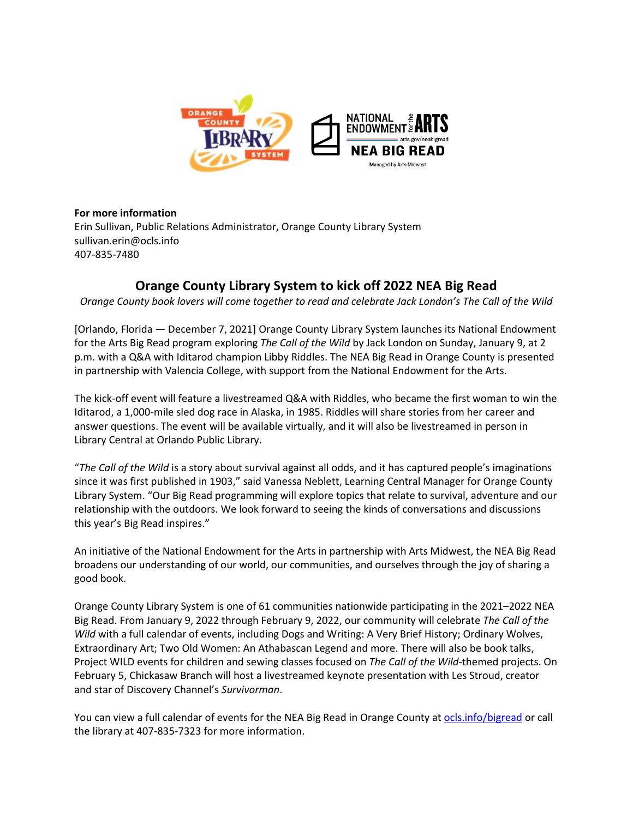

## **For more information**

Erin Sullivan, Public Relations Administrator, Orange County Library System sullivan.erin@ocls.info 407-835-7480

## **Orange County Library System to kick off 2022 NEA Big Read**

*Orange County book lovers will come together to read and celebrate Jack London's The Call of the Wild*

[Orlando, Florida — December 7, 2021] Orange County Library System launches its National Endowment for the Arts Big Read program exploring *The Call of the Wild* by Jack London on Sunday, January 9, at 2 p.m. with a Q&A with Iditarod champion Libby Riddles. The NEA Big Read in Orange County is presented in partnership with Valencia College, with support from the National Endowment for the Arts.

The kick-off event will feature a livestreamed Q&A with Riddles, who became the first woman to win the Iditarod, a 1,000-mile sled dog race in Alaska, in 1985. Riddles will share stories from her career and answer questions. The event will be available virtually, and it will also be livestreamed in person in Library Central at Orlando Public Library.

"*The Call of the Wild* is a story about survival against all odds, and it has captured people's imaginations since it was first published in 1903," said Vanessa Neblett, Learning Central Manager for Orange County Library System. "Our Big Read programming will explore topics that relate to survival, adventure and our relationship with the outdoors. We look forward to seeing the kinds of conversations and discussions this year's Big Read inspires."

An initiative of the National Endowment for the Arts in partnership with Arts Midwest, the NEA Big Read broadens our understanding of our world, our communities, and ourselves through the joy of sharing a good book.

Orange County Library System is one of 61 communities nationwide participating in the 2021–2022 NEA Big Read. From January 9, 2022 through February 9, 2022, our community will celebrate *The Call of the Wild* with a full calendar of events, including Dogs and Writing: A Very Brief History; Ordinary Wolves, Extraordinary Art; Two Old Women: An Athabascan Legend and more. There will also be book talks, Project WILD events for children and sewing classes focused on *The Call of the Wild*-themed projects. On February 5, Chickasaw Branch will host a livestreamed keynote presentation with Les Stroud, creator and star of Discovery Channel's *Survivorman*.

You can view a full calendar of events for the NEA Big Read in Orange County a[t ocls.info/bigread](http://www.ocls.info/bigread) or call the library at 407-835-7323 for more information.